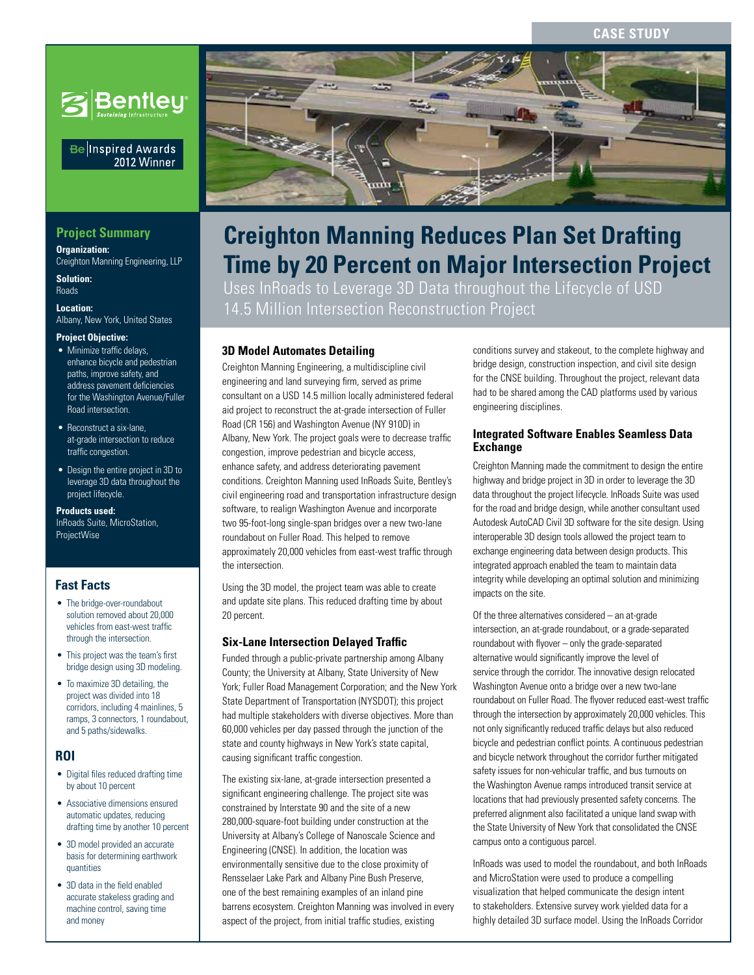#### **Case Study**



#### Be Inspired Awards 2012 Winner

## **Project Summary**

**Organization:**  Creighton Manning Engineering, LLP

**Solution:**  Roads

**Location:**  Albany, New York, United States

#### **Project Objective:**

- Minimize traffic delays, enhance bicycle and pedestrian paths, improve safety, and address pavement deficiencies for the Washington Avenue/Fuller Road intersection.
- Reconstruct a six-lane, at-grade intersection to reduce traffic congestion.
- Design the entire project in 3D to leverage 3D data throughout the project lifecycle.

**Products used:** InRoads Suite, MicroStation, ProjectWise

## **Fast Facts**

- The bridge-over-roundabout solution removed about 20,000 vehicles from east-west traffic through the intersection.
- This project was the team's first bridge design using 3D modeling.
- To maximize 3D detailing, the project was divided into 18 corridors, including 4 mainlines, 5 ramps, 3 connectors, 1 roundabout, and 5 paths/sidewalks.

#### **ROI**

- Digital files reduced drafting time by about 10 percent
- Associative dimensions ensured automatic updates, reducing drafting time by another 10 percent
- 3D model provided an accurate basis for determining earthwork quantities
- 3D data in the field enabled accurate stakeless grading and machine control, saving time and money



# **Time by 20 Percent on Major Intersection Project Creighton Manning Reduces Plan Set Drafting**

Uses InRoads to Leverage 3D Data throughout the Lifecycle of USD 14.5 Million Intersection Reconstruction Project

#### **3D Model Automates Detailing**

Creighton Manning Engineering, a multidiscipline civil engineering and land surveying firm, served as prime consultant on a USD 14.5 million locally administered federal aid project to reconstruct the at-grade intersection of Fuller Road (CR 156) and Washington Avenue (NY 910D) in Albany, New York. The project goals were to decrease traffic congestion, improve pedestrian and bicycle access, enhance safety, and address deteriorating pavement conditions. Creighton Manning used InRoads Suite, Bentley's civil engineering road and transportation infrastructure design software, to realign Washington Avenue and incorporate two 95-foot-long single-span bridges over a new two-lane roundabout on Fuller Road. This helped to remove approximately 20,000 vehicles from east-west traffic through the intersection.

Using the 3D model, the project team was able to create and update site plans. This reduced drafting time by about 20 percent.

#### **Six-Lane Intersection Delayed Traffic**

Funded through a public-private partnership among Albany County; the University at Albany, State University of New York; Fuller Road Management Corporation; and the New York State Department of Transportation (NYSDOT); this project had multiple stakeholders with diverse objectives. More than 60,000 vehicles per day passed through the junction of the state and county highways in New York's state capital, causing significant traffic congestion.

The existing six-lane, at-grade intersection presented a significant engineering challenge. The project site was constrained by Interstate 90 and the site of a new 280,000-square-foot building under construction at the University at Albany's College of Nanoscale Science and Engineering (CNSE). In addition, the location was environmentally sensitive due to the close proximity of Rensselaer Lake Park and Albany Pine Bush Preserve, one of the best remaining examples of an inland pine barrens ecosystem. Creighton Manning was involved in every aspect of the project, from initial traffic studies, existing

conditions survey and stakeout, to the complete highway and bridge design, construction inspection, and civil site design for the CNSE building. Throughout the project, relevant data had to be shared among the CAD platforms used by various engineering disciplines.

#### **Integrated Software Enables Seamless Data Exchange**

Creighton Manning made the commitment to design the entire highway and bridge project in 3D in order to leverage the 3D data throughout the project lifecycle. InRoads Suite was used for the road and bridge design, while another consultant used Autodesk AutoCAD Civil 3D software for the site design. Using interoperable 3D design tools allowed the project team to exchange engineering data between design products. This integrated approach enabled the team to maintain data integrity while developing an optimal solution and minimizing impacts on the site.

Of the three alternatives considered – an at-grade intersection, an at-grade roundabout, or a grade-separated roundabout with flyover – only the grade-separated alternative would significantly improve the level of service through the corridor. The innovative design relocated Washington Avenue onto a bridge over a new two-lane roundabout on Fuller Road. The flyover reduced east-west traffic through the intersection by approximately 20,000 vehicles. This not only significantly reduced traffic delays but also reduced bicycle and pedestrian conflict points. A continuous pedestrian and bicycle network throughout the corridor further mitigated safety issues for non-vehicular traffic, and bus turnouts on the Washington Avenue ramps introduced transit service at locations that had previously presented safety concerns. The preferred alignment also facilitated a unique land swap with the State University of New York that consolidated the CNSE campus onto a contiguous parcel.

InRoads was used to model the roundabout, and both InRoads and MicroStation were used to produce a compelling visualization that helped communicate the design intent to stakeholders. Extensive survey work yielded data for a highly detailed 3D surface model. Using the InRoads Corridor